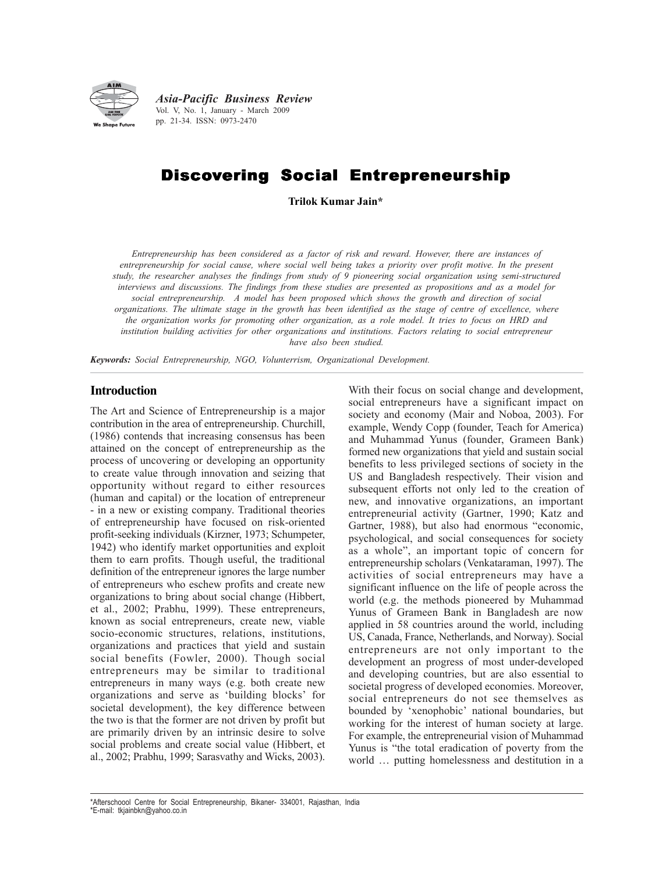

*Asia-Pacific Business Review* Vol. V, No. 1, January - March 2009 pp. 21-34. ISSN: 0973-2470

# Discovering Social Entrepreneurship

**Trilok Kumar Jain\***

*Entrepreneurship has been considered as a factor of risk and reward. However, there are instances of entrepreneurship for social cause, where social well being takes a priority over profit motive. In the present study, the researcher analyses the findings from study of 9 pioneering social organization using semi-structured interviews and discussions. The findings from these studies are presented as propositions and as a model for social entrepreneurship. A model has been proposed which shows the growth and direction of social organizations. The ultimate stage in the growth has been identified as the stage of centre of excellence, where the organization works for promoting other organization, as a role model. It tries to focus on HRD and institution building activities for other organizations and institutions. Factors relating to social entrepreneur have also been studied.*

*Keywords: Social Entrepreneurship, NGO, Volunterrism, Organizational Development.*

#### **Introduction**

The Art and Science of Entrepreneurship is a major contribution in the area of entrepreneurship. Churchill, (1986) contends that increasing consensus has been attained on the concept of entrepreneurship as the process of uncovering or developing an opportunity to create value through innovation and seizing that opportunity without regard to either resources (human and capital) or the location of entrepreneur - in a new or existing company. Traditional theories of entrepreneurship have focused on risk-oriented profit-seeking individuals (Kirzner, 1973; Schumpeter, 1942) who identify market opportunities and exploit them to earn profits. Though useful, the traditional definition of the entrepreneur ignores the large number of entrepreneurs who eschew profits and create new organizations to bring about social change (Hibbert, et al., 2002; Prabhu, 1999). These entrepreneurs, known as social entrepreneurs, create new, viable socio-economic structures, relations, institutions, organizations and practices that yield and sustain social benefits (Fowler, 2000). Though social entrepreneurs may be similar to traditional entrepreneurs in many ways (e.g. both create new organizations and serve as 'building blocks' for societal development), the key difference between the two is that the former are not driven by profit but are primarily driven by an intrinsic desire to solve social problems and create social value (Hibbert, et al., 2002; Prabhu, 1999; Sarasvathy and Wicks, 2003).

With their focus on social change and development. social entrepreneurs have a significant impact on society and economy (Mair and Noboa, 2003). For example, Wendy Copp (founder, Teach for America) and Muhammad Yunus (founder, Grameen Bank) formed new organizations that yield and sustain social benefits to less privileged sections of society in the US and Bangladesh respectively. Their vision and subsequent efforts not only led to the creation of new, and innovative organizations, an important entrepreneurial activity (Gartner, 1990; Katz and Gartner, 1988), but also had enormous "economic, psychological, and social consequences for society as a whole", an important topic of concern for entrepreneurship scholars (Venkataraman, 1997). The activities of social entrepreneurs may have a significant influence on the life of people across the world (e.g. the methods pioneered by Muhammad Yunus of Grameen Bank in Bangladesh are now applied in 58 countries around the world, including US, Canada, France, Netherlands, and Norway). Social entrepreneurs are not only important to the development an progress of most under-developed and developing countries, but are also essential to societal progress of developed economies. Moreover, social entrepreneurs do not see themselves as bounded by 'xenophobic' national boundaries, but working for the interest of human society at large. For example, the entrepreneurial vision of Muhammad Yunus is "the total eradication of poverty from the world … putting homelessness and destitution in a

<sup>\*</sup>Afterschoool Centre for Social Entrepreneurship, Bikaner- 334001, Rajasthan, India<br>\*Example: this inhistory results on the \*E-mail: tkjainbkn@yahoo.co.in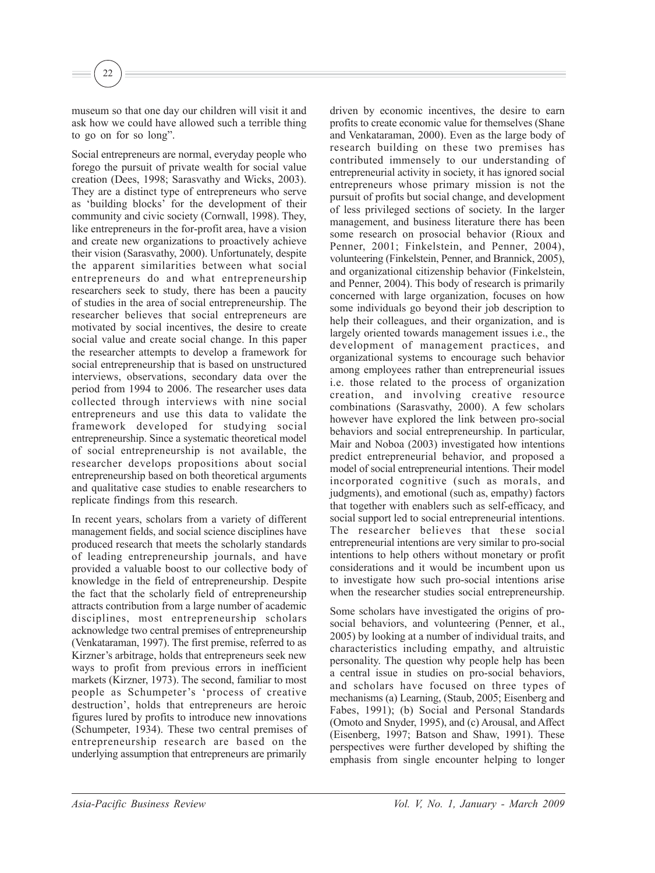museum so that one day our children will visit it and ask how we could have allowed such a terrible thing to go on for so long".

22

Social entrepreneurs are normal, everyday people who forego the pursuit of private wealth for social value creation (Dees, 1998; Sarasvathy and Wicks, 2003). They are a distinct type of entrepreneurs who serve as 'building blocks' for the development of their community and civic society (Cornwall, 1998). They, like entrepreneurs in the for-profit area, have a vision and create new organizations to proactively achieve their vision (Sarasvathy, 2000). Unfortunately, despite the apparent similarities between what social entrepreneurs do and what entrepreneurship researchers seek to study, there has been a paucity of studies in the area of social entrepreneurship. The researcher believes that social entrepreneurs are motivated by social incentives, the desire to create social value and create social change. In this paper the researcher attempts to develop a framework for social entrepreneurship that is based on unstructured interviews, observations, secondary data over the period from 1994 to 2006. The researcher uses data collected through interviews with nine social entrepreneurs and use this data to validate the framework developed for studying social entrepreneurship. Since a systematic theoretical model of social entrepreneurship is not available, the researcher develops propositions about social entrepreneurship based on both theoretical arguments and qualitative case studies to enable researchers to replicate findings from this research.

In recent years, scholars from a variety of different management fields, and social science disciplines have produced research that meets the scholarly standards of leading entrepreneurship journals, and have provided a valuable boost to our collective body of knowledge in the field of entrepreneurship. Despite the fact that the scholarly field of entrepreneurship attracts contribution from a large number of academic disciplines, most entrepreneurship scholars acknowledge two central premises of entrepreneurship (Venkataraman, 1997). The first premise, referred to as Kirzner's arbitrage, holds that entrepreneurs seek new ways to profit from previous errors in inefficient markets (Kirzner, 1973). The second, familiar to most people as Schumpeter's 'process of creative destruction', holds that entrepreneurs are heroic figures lured by profits to introduce new innovations (Schumpeter, 1934). These two central premises of entrepreneurship research are based on the underlying assumption that entrepreneurs are primarily driven by economic incentives, the desire to earn profits to create economic value for themselves (Shane and Venkataraman, 2000). Even as the large body of research building on these two premises has contributed immensely to our understanding of entrepreneurial activity in society, it has ignored social entrepreneurs whose primary mission is not the pursuit of profits but social change, and development of less privileged sections of society. In the larger management, and business literature there has been some research on prosocial behavior (Rioux and Penner, 2001; Finkelstein, and Penner, 2004), volunteering (Finkelstein, Penner, and Brannick, 2005), and organizational citizenship behavior (Finkelstein, and Penner, 2004). This body of research is primarily concerned with large organization, focuses on how some individuals go beyond their job description to help their colleagues, and their organization, and is largely oriented towards management issues i.e., the development of management practices, and organizational systems to encourage such behavior among employees rather than entrepreneurial issues i.e. those related to the process of organization creation, and involving creative resource combinations (Sarasvathy, 2000). A few scholars however have explored the link between pro-social behaviors and social entrepreneurship. In particular, Mair and Noboa (2003) investigated how intentions predict entrepreneurial behavior, and proposed a model of social entrepreneurial intentions. Their model incorporated cognitive (such as morals, and judgments), and emotional (such as, empathy) factors that together with enablers such as self-efficacy, and social support led to social entrepreneurial intentions. The researcher believes that these social entrepreneurial intentions are very similar to pro-social intentions to help others without monetary or profit considerations and it would be incumbent upon us to investigate how such pro-social intentions arise when the researcher studies social entrepreneurship.

Some scholars have investigated the origins of prosocial behaviors, and volunteering (Penner, et al., 2005) by looking at a number of individual traits, and characteristics including empathy, and altruistic personality. The question why people help has been a central issue in studies on pro-social behaviors, and scholars have focused on three types of mechanisms (a) Learning, (Staub, 2005; Eisenberg and Fabes, 1991); (b) Social and Personal Standards (Omoto and Snyder, 1995), and (c) Arousal, and Affect (Eisenberg, 1997; Batson and Shaw, 1991). These perspectives were further developed by shifting the emphasis from single encounter helping to longer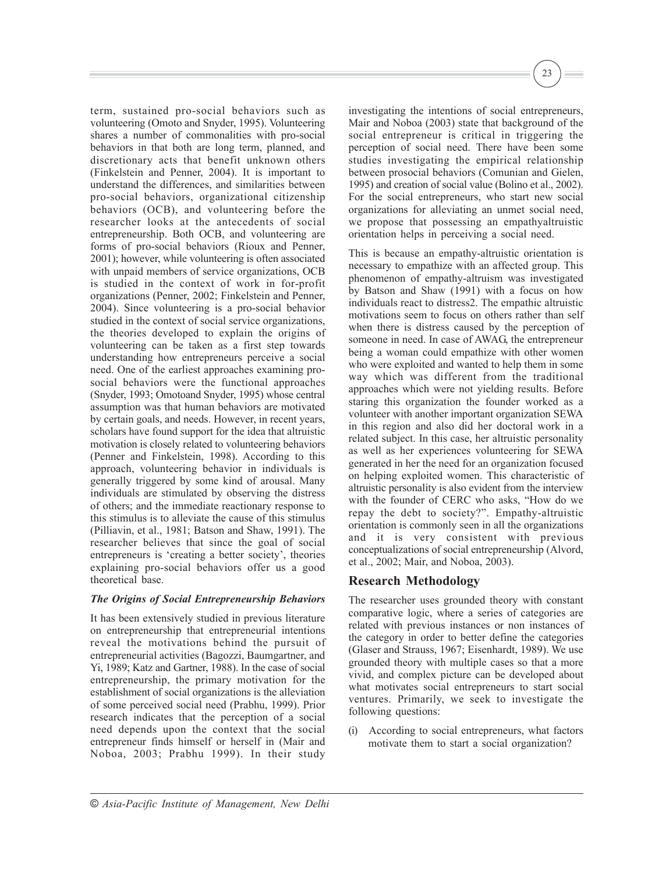term, sustained pro-social behaviors such as volunteering (Omoto and Snyder, 1995). Volunteering shares a number of commonalities with pro-social behaviors in that both are long term, planned, and discretionary acts that benefit unknown others (Finkelstein and Penner, 2004). It is important to understand the differences, and similarities between pro-social behaviors, organizational citizenship behaviors (OCB), and volunteering before the researcher looks at the antecedents of social entrepreneurship. Both OCB, and volunteering are forms of pro-social behaviors (Rioux and Penner, 2001); however, while volunteering is often associated with unpaid members of service organizations, OCB is studied in the context of work in for-profit organizations (Penner, 2002; Finkelstein and Penner, 2004). Since volunteering is a pro-social behavior studied in the context of social service organizations, the theories developed to explain the origins of volunteering can be taken as a first step towards understanding how entrepreneurs perceive a social need. One of the earliest approaches examining prosocial behaviors were the functional approaches (Snyder, 1993; Omotoand Snyder, 1995) whose central assumption was that human behaviors are motivated by certain goals, and needs. However, in recent years, scholars have found support for the idea that altruistic motivation is closely related to volunteering behaviors (Penner and Finkelstein, 1998). According to this approach, volunteering behavior in individuals is generally triggered by some kind of arousal. Many individuals are stimulated by observing the distress of others; and the immediate reactionary response to this stimulus is to alleviate the cause of this stimulus (Pilliavin, et al., 1981; Batson and Shaw, 1991). The researcher believes that since the goal of social entrepreneurs is 'creating a better society', theories explaining pro-social behaviors offer us a good theoretical base.

## *The Origins of Social Entrepreneurship Behaviors*

It has been extensively studied in previous literature on entrepreneurship that entrepreneurial intentions reveal the motivations behind the pursuit of entrepreneurial activities (Bagozzi, Baumgartner, and Yi, 1989; Katz and Gartner, 1988). In the case of social entrepreneurship, the primary motivation for the establishment of social organizations is the alleviation of some perceived social need (Prabhu, 1999). Prior research indicates that the perception of a social need depends upon the context that the social entrepreneur finds himself or herself in (Mair and Noboa, 2003; Prabhu 1999). In their study

investigating the intentions of social entrepreneurs, Mair and Noboa (2003) state that background of the social entrepreneur is critical in triggering the perception of social need. There have been some studies investigating the empirical relationship between prosocial behaviors (Comunian and Gielen, 1995) and creation of social value (Bolino et al., 2002). For the social entrepreneurs, who start new social organizations for alleviating an unmet social need, we propose that possessing an empathyaltruistic orientation helps in perceiving a social need.

23

This is because an empathy-altruistic orientation is necessary to empathize with an affected group. This phenomenon of empathy-altruism was investigated by Batson and Shaw (1991) with a focus on how individuals react to distress2. The empathic altruistic motivations seem to focus on others rather than self when there is distress caused by the perception of someone in need. In case of AWAG, the entrepreneur being a woman could empathize with other women who were exploited and wanted to help them in some way which was different from the traditional approaches which were not yielding results. Before staring this organization the founder worked as a volunteer with another important organization SEWA in this region and also did her doctoral work in a related subject. In this case, her altruistic personality as well as her experiences volunteering for SEWA generated in her the need for an organization focused on helping exploited women. This characteristic of altruistic personality is also evident from the interview with the founder of CERC who asks, "How do we repay the debt to society?". Empathy-altruistic orientation is commonly seen in all the organizations and it is very consistent with previous conceptualizations of social entrepreneurship (Alvord, et al., 2002; Mair, and Noboa, 2003).

# **Research Methodology**

The researcher uses grounded theory with constant comparative logic, where a series of categories are related with previous instances or non instances of the category in order to better define the categories (Glaser and Strauss, 1967; Eisenhardt, 1989). We use grounded theory with multiple cases so that a more vivid, and complex picture can be developed about what motivates social entrepreneurs to start social ventures. Primarily, we seek to investigate the following questions:

(i) According to social entrepreneurs, what factors motivate them to start a social organization?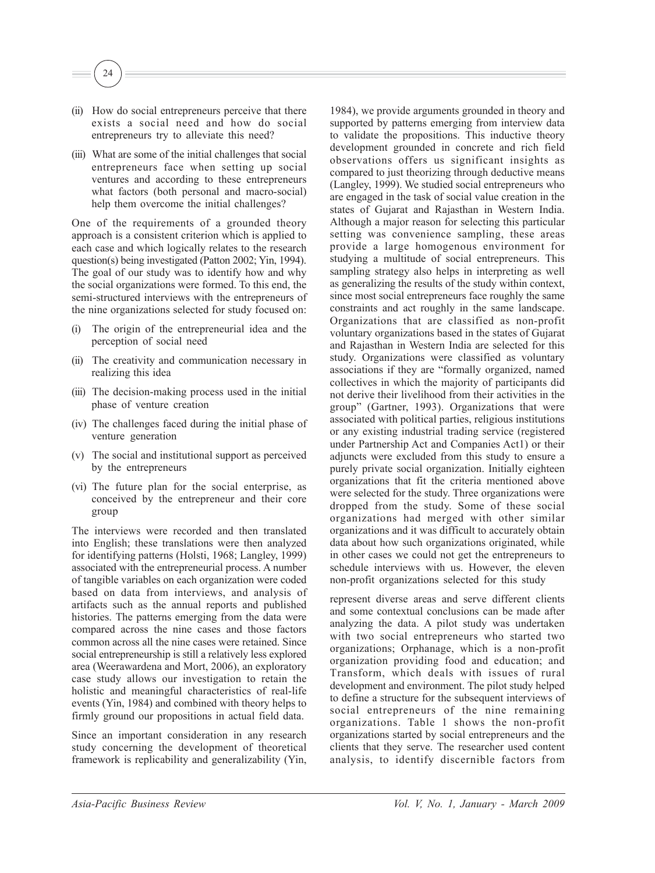

- (ii) How do social entrepreneurs perceive that there exists a social need and how do social entrepreneurs try to alleviate this need?
- (iii) What are some of the initial challenges that social entrepreneurs face when setting up social ventures and according to these entrepreneurs what factors (both personal and macro-social) help them overcome the initial challenges?

One of the requirements of a grounded theory approach is a consistent criterion which is applied to each case and which logically relates to the research question(s) being investigated (Patton 2002; Yin, 1994). The goal of our study was to identify how and why the social organizations were formed. To this end, the semi-structured interviews with the entrepreneurs of the nine organizations selected for study focused on:

- The origin of the entrepreneurial idea and the perception of social need
- (ii) The creativity and communication necessary in realizing this idea
- (iii) The decision-making process used in the initial phase of venture creation
- (iv) The challenges faced during the initial phase of venture generation
- (v) The social and institutional support as perceived by the entrepreneurs
- (vi) The future plan for the social enterprise, as conceived by the entrepreneur and their core group

The interviews were recorded and then translated into English; these translations were then analyzed for identifying patterns (Holsti, 1968; Langley, 1999) associated with the entrepreneurial process. A number of tangible variables on each organization were coded based on data from interviews, and analysis of artifacts such as the annual reports and published histories. The patterns emerging from the data were compared across the nine cases and those factors common across all the nine cases were retained. Since social entrepreneurship is still a relatively less explored area (Weerawardena and Mort, 2006), an exploratory case study allows our investigation to retain the holistic and meaningful characteristics of real-life events (Yin, 1984) and combined with theory helps to firmly ground our propositions in actual field data.

Since an important consideration in any research study concerning the development of theoretical framework is replicability and generalizability (Yin,

1984), we provide arguments grounded in theory and supported by patterns emerging from interview data to validate the propositions. This inductive theory development grounded in concrete and rich field observations offers us significant insights as compared to just theorizing through deductive means (Langley, 1999). We studied social entrepreneurs who are engaged in the task of social value creation in the states of Gujarat and Rajasthan in Western India. Although a major reason for selecting this particular setting was convenience sampling, these areas provide a large homogenous environment for studying a multitude of social entrepreneurs. This sampling strategy also helps in interpreting as well as generalizing the results of the study within context, since most social entrepreneurs face roughly the same constraints and act roughly in the same landscape. Organizations that are classified as non-profit voluntary organizations based in the states of Gujarat and Rajasthan in Western India are selected for this study. Organizations were classified as voluntary associations if they are "formally organized, named collectives in which the majority of participants did not derive their livelihood from their activities in the group" (Gartner, 1993). Organizations that were associated with political parties, religious institutions or any existing industrial trading service (registered under Partnership Act and Companies Act1) or their adjuncts were excluded from this study to ensure a purely private social organization. Initially eighteen organizations that fit the criteria mentioned above were selected for the study. Three organizations were dropped from the study. Some of these social organizations had merged with other similar organizations and it was difficult to accurately obtain data about how such organizations originated, while in other cases we could not get the entrepreneurs to schedule interviews with us. However, the eleven non-profit organizations selected for this study

represent diverse areas and serve different clients and some contextual conclusions can be made after analyzing the data. A pilot study was undertaken with two social entrepreneurs who started two organizations; Orphanage, which is a non-profit organization providing food and education; and Transform, which deals with issues of rural development and environment. The pilot study helped to define a structure for the subsequent interviews of social entrepreneurs of the nine remaining organizations. Table 1 shows the non-profit organizations started by social entrepreneurs and the clients that they serve. The researcher used content analysis, to identify discernible factors from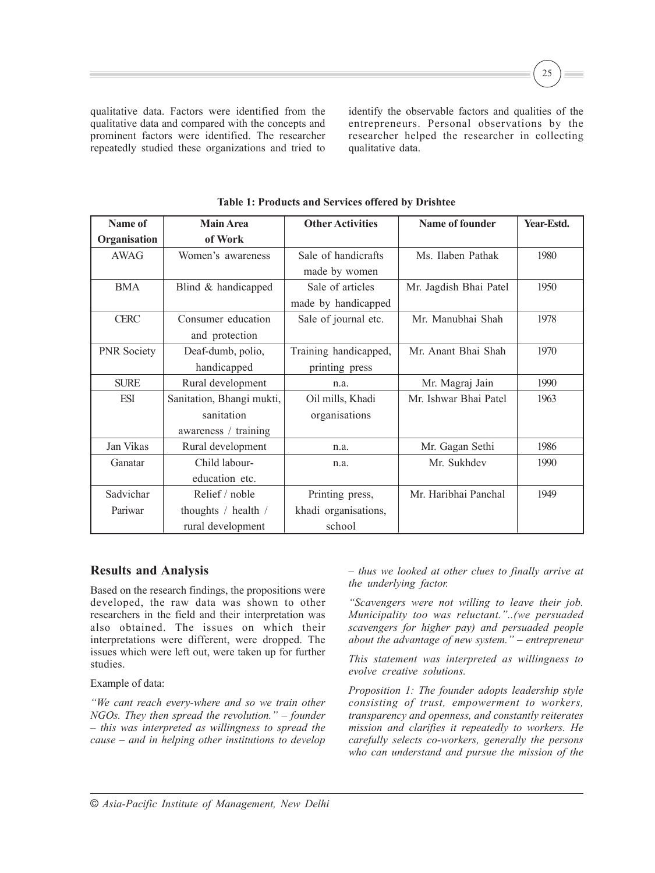qualitative data. Factors were identified from the qualitative data and compared with the concepts and prominent factors were identified. The researcher repeatedly studied these organizations and tried to

identify the observable factors and qualities of the entrepreneurs. Personal observations by the researcher helped the researcher in collecting qualitative data.

25

| Name of            | <b>Main Area</b>          | <b>Other Activities</b> | Name of founder        | Year-Estd. |
|--------------------|---------------------------|-------------------------|------------------------|------------|
| Organisation       | of Work                   |                         |                        |            |
| AWAG               | Women's awareness         | Sale of handicrafts     | Ms. Ilaben Pathak      | 1980       |
|                    |                           | made by women           |                        |            |
| <b>BMA</b>         | Blind & handicapped       | Sale of articles        | Mr. Jagdish Bhai Patel | 1950       |
|                    |                           | made by handicapped     |                        |            |
| <b>CERC</b>        | Consumer education        | Sale of journal etc.    | Mr. Manubhai Shah      | 1978       |
|                    | and protection            |                         |                        |            |
| <b>PNR</b> Society | Deaf-dumb, polio,         | Training handicapped,   | Mr. Anant Bhai Shah    | 1970       |
|                    | handicapped               | printing press          |                        |            |
| <b>SURE</b>        | Rural development         | n.a.                    | Mr. Magraj Jain        | 1990       |
| <b>ESI</b>         | Sanitation, Bhangi mukti, | Oil mills, Khadi        | Mr. Ishwar Bhai Patel  | 1963       |
|                    | sanitation                | organisations           |                        |            |
|                    | awareness / training      |                         |                        |            |
| Jan Vikas          | Rural development         | n.a.                    | Mr. Gagan Sethi        | 1986       |
| Ganatar            | Child labour-             | n.a.                    | Mr. Sukhdev            | 1990       |
|                    | education etc.            |                         |                        |            |
| Sadvichar          | Relief / noble            | Printing press,         | Mr. Haribhai Panchal   | 1949       |
| Pariwar            | thoughts / health /       | khadi organisations,    |                        |            |
|                    | rural development         | school                  |                        |            |

**Table 1: Products and Services offered by Drishtee**

## **Results and Analysis**

Based on the research findings, the propositions were developed, the raw data was shown to other researchers in the field and their interpretation was also obtained. The issues on which their interpretations were different, were dropped. The issues which were left out, were taken up for further studies.

Example of data:

*"We cant reach every-where and so we train other NGOs. They then spread the revolution." – founder – this was interpreted as willingness to spread the cause – and in helping other institutions to develop*

*– thus we looked at other clues to finally arrive at the underlying factor.*

*"Scavengers were not willing to leave their job. Municipality too was reluctant."..(we persuaded scavengers for higher pay) and persuaded people about the advantage of new system." – entrepreneur*

*This statement was interpreted as willingness to evolve creative solutions.*

*Proposition 1: The founder adopts leadership style consisting of trust, empowerment to workers, transparency and openness, and constantly reiterates mission and clarifies it repeatedly to workers. He carefully selects co-workers, generally the persons who can understand and pursue the mission of the*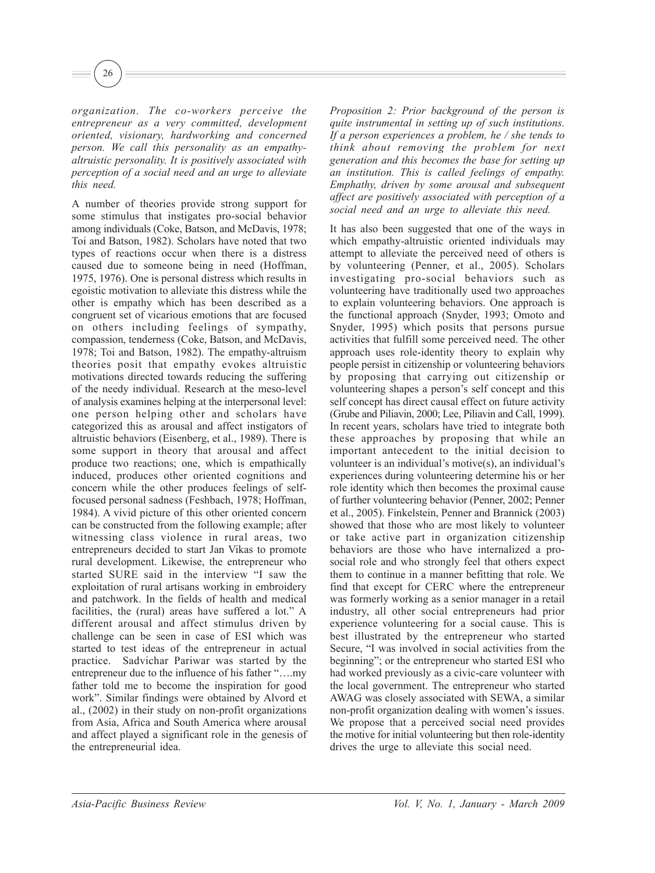26

*organization. The co-workers perceive the entrepreneur as a very committed, development oriented, visionary, hardworking and concerned person. We call this personality as an empathyaltruistic personality. It is positively associated with perception of a social need and an urge to alleviate this need.*

A number of theories provide strong support for some stimulus that instigates pro-social behavior among individuals (Coke, Batson, and McDavis, 1978; Toi and Batson, 1982). Scholars have noted that two types of reactions occur when there is a distress caused due to someone being in need (Hoffman, 1975, 1976). One is personal distress which results in egoistic motivation to alleviate this distress while the other is empathy which has been described as a congruent set of vicarious emotions that are focused on others including feelings of sympathy, compassion, tenderness (Coke, Batson, and McDavis, 1978; Toi and Batson, 1982). The empathy-altruism theories posit that empathy evokes altruistic motivations directed towards reducing the suffering of the needy individual. Research at the meso-level of analysis examines helping at the interpersonal level: one person helping other and scholars have categorized this as arousal and affect instigators of altruistic behaviors (Eisenberg, et al., 1989). There is some support in theory that arousal and affect produce two reactions; one, which is empathically induced, produces other oriented cognitions and concern while the other produces feelings of selffocused personal sadness (Feshbach, 1978; Hoffman, 1984). A vivid picture of this other oriented concern can be constructed from the following example; after witnessing class violence in rural areas, two entrepreneurs decided to start Jan Vikas to promote rural development. Likewise, the entrepreneur who started SURE said in the interview "I saw the exploitation of rural artisans working in embroidery and patchwork. In the fields of health and medical facilities, the (rural) areas have suffered a lot." A different arousal and affect stimulus driven by challenge can be seen in case of ESI which was started to test ideas of the entrepreneur in actual practice. Sadvichar Pariwar was started by the entrepreneur due to the influence of his father "….my father told me to become the inspiration for good work". Similar findings were obtained by Alvord et al., (2002) in their study on non-profit organizations from Asia, Africa and South America where arousal and affect played a significant role in the genesis of the entrepreneurial idea.

*Proposition 2: Prior background of the person is quite instrumental in setting up of such institutions. If a person experiences a problem, he / she tends to think about removing the problem for next generation and this becomes the base for setting up an institution. This is called feelings of empathy. Emphathy, driven by some arousal and subsequent affect are positively associated with perception of a social need and an urge to alleviate this need.*

It has also been suggested that one of the ways in which empathy-altruistic oriented individuals may attempt to alleviate the perceived need of others is by volunteering (Penner, et al., 2005). Scholars investigating pro-social behaviors such as volunteering have traditionally used two approaches to explain volunteering behaviors. One approach is the functional approach (Snyder, 1993; Omoto and Snyder, 1995) which posits that persons pursue activities that fulfill some perceived need. The other approach uses role-identity theory to explain why people persist in citizenship or volunteering behaviors by proposing that carrying out citizenship or volunteering shapes a person's self concept and this self concept has direct causal effect on future activity (Grube and Piliavin, 2000; Lee, Piliavin and Call, 1999). In recent years, scholars have tried to integrate both these approaches by proposing that while an important antecedent to the initial decision to volunteer is an individual's motive(s), an individual's experiences during volunteering determine his or her role identity which then becomes the proximal cause of further volunteering behavior (Penner, 2002; Penner et al., 2005). Finkelstein, Penner and Brannick (2003) showed that those who are most likely to volunteer or take active part in organization citizenship behaviors are those who have internalized a prosocial role and who strongly feel that others expect them to continue in a manner befitting that role. We find that except for CERC where the entrepreneur was formerly working as a senior manager in a retail industry, all other social entrepreneurs had prior experience volunteering for a social cause. This is best illustrated by the entrepreneur who started Secure, "I was involved in social activities from the beginning"; or the entrepreneur who started ESI who had worked previously as a civic-care volunteer with the local government. The entrepreneur who started AWAG was closely associated with SEWA, a similar non-profit organization dealing with women's issues. We propose that a perceived social need provides the motive for initial volunteering but then role-identity drives the urge to alleviate this social need.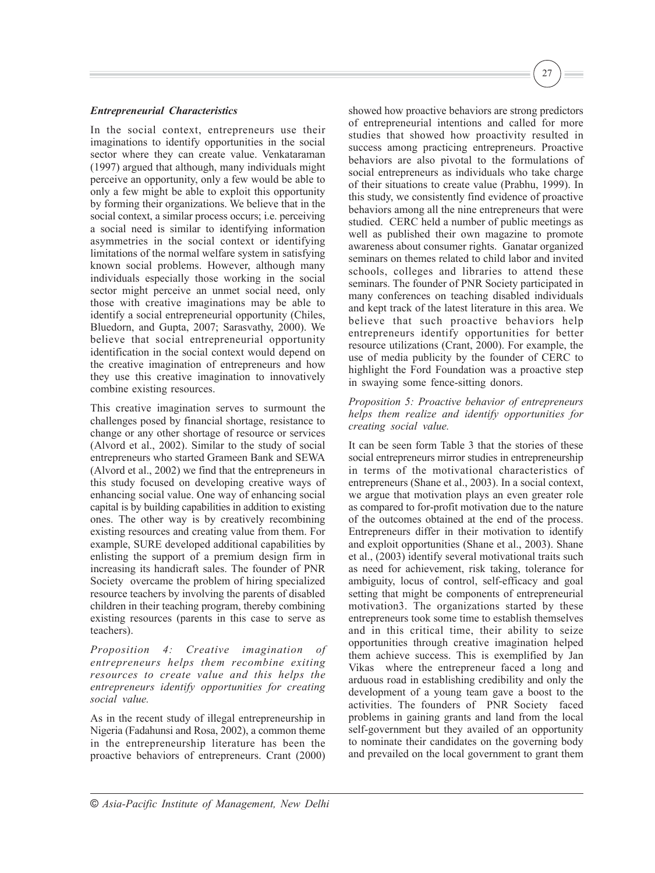#### *Entrepreneurial Characteristics*

In the social context, entrepreneurs use their imaginations to identify opportunities in the social sector where they can create value. Venkataraman (1997) argued that although, many individuals might perceive an opportunity, only a few would be able to only a few might be able to exploit this opportunity by forming their organizations. We believe that in the social context, a similar process occurs; i.e. perceiving a social need is similar to identifying information asymmetries in the social context or identifying limitations of the normal welfare system in satisfying known social problems. However, although many individuals especially those working in the social sector might perceive an unmet social need, only those with creative imaginations may be able to identify a social entrepreneurial opportunity (Chiles, Bluedorn, and Gupta, 2007; Sarasvathy, 2000). We believe that social entrepreneurial opportunity identification in the social context would depend on the creative imagination of entrepreneurs and how they use this creative imagination to innovatively combine existing resources.

This creative imagination serves to surmount the challenges posed by financial shortage, resistance to change or any other shortage of resource or services (Alvord et al., 2002). Similar to the study of social entrepreneurs who started Grameen Bank and SEWA (Alvord et al., 2002) we find that the entrepreneurs in this study focused on developing creative ways of enhancing social value. One way of enhancing social capital is by building capabilities in addition to existing ones. The other way is by creatively recombining existing resources and creating value from them. For example, SURE developed additional capabilities by enlisting the support of a premium design firm in increasing its handicraft sales. The founder of PNR Society overcame the problem of hiring specialized resource teachers by involving the parents of disabled children in their teaching program, thereby combining existing resources (parents in this case to serve as teachers).

*Proposition 4: Creative imagination of entrepreneurs helps them recombine exiting resources to create value and this helps the entrepreneurs identify opportunities for creating social value.*

As in the recent study of illegal entrepreneurship in Nigeria (Fadahunsi and Rosa, 2002), a common theme in the entrepreneurship literature has been the proactive behaviors of entrepreneurs. Crant (2000) showed how proactive behaviors are strong predictors of entrepreneurial intentions and called for more studies that showed how proactivity resulted in success among practicing entrepreneurs. Proactive behaviors are also pivotal to the formulations of social entrepreneurs as individuals who take charge of their situations to create value (Prabhu, 1999). In this study, we consistently find evidence of proactive behaviors among all the nine entrepreneurs that were studied. CERC held a number of public meetings as well as published their own magazine to promote awareness about consumer rights. Ganatar organized seminars on themes related to child labor and invited schools, colleges and libraries to attend these seminars. The founder of PNR Society participated in many conferences on teaching disabled individuals and kept track of the latest literature in this area. We believe that such proactive behaviors help entrepreneurs identify opportunities for better resource utilizations (Crant, 2000). For example, the use of media publicity by the founder of CERC to highlight the Ford Foundation was a proactive step in swaying some fence-sitting donors.

27

*Proposition 5: Proactive behavior of entrepreneurs helps them realize and identify opportunities for creating social value.*

It can be seen form Table 3 that the stories of these social entrepreneurs mirror studies in entrepreneurship in terms of the motivational characteristics of entrepreneurs (Shane et al., 2003). In a social context, we argue that motivation plays an even greater role as compared to for-profit motivation due to the nature of the outcomes obtained at the end of the process. Entrepreneurs differ in their motivation to identify and exploit opportunities (Shane et al., 2003). Shane et al., (2003) identify several motivational traits such as need for achievement, risk taking, tolerance for ambiguity, locus of control, self-efficacy and goal setting that might be components of entrepreneurial motivation3. The organizations started by these entrepreneurs took some time to establish themselves and in this critical time, their ability to seize opportunities through creative imagination helped them achieve success. This is exemplified by Jan Vikas where the entrepreneur faced a long and arduous road in establishing credibility and only the development of a young team gave a boost to the activities. The founders of PNR Society faced problems in gaining grants and land from the local self-government but they availed of an opportunity to nominate their candidates on the governing body and prevailed on the local government to grant them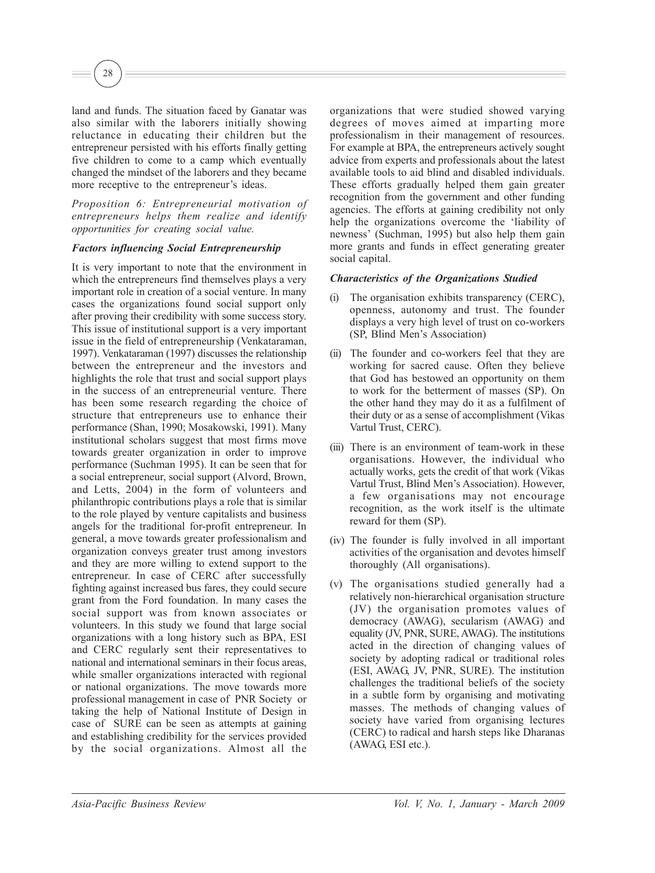land and funds. The situation faced by Ganatar was also similar with the laborers initially showing reluctance in educating their children but the entrepreneur persisted with his efforts finally getting five children to come to a camp which eventually changed the mindset of the laborers and they became more receptive to the entrepreneur's ideas.

28

*Proposition 6: Entrepreneurial motivation of entrepreneurs helps them realize and identify opportunities for creating social value.*

#### *Factors influencing Social Entrepreneurship*

It is very important to note that the environment in which the entrepreneurs find themselves plays a very important role in creation of a social venture. In many cases the organizations found social support only after proving their credibility with some success story. This issue of institutional support is a very important issue in the field of entrepreneurship (Venkataraman, 1997). Venkataraman (1997) discusses the relationship between the entrepreneur and the investors and highlights the role that trust and social support plays in the success of an entrepreneurial venture. There has been some research regarding the choice of structure that entrepreneurs use to enhance their performance (Shan, 1990; Mosakowski, 1991). Many institutional scholars suggest that most firms move towards greater organization in order to improve performance (Suchman 1995). It can be seen that for a social entrepreneur, social support (Alvord, Brown, and Letts, 2004) in the form of volunteers and philanthropic contributions plays a role that is similar to the role played by venture capitalists and business angels for the traditional for-profit entrepreneur. In general, a move towards greater professionalism and organization conveys greater trust among investors and they are more willing to extend support to the entrepreneur. In case of CERC after successfully fighting against increased bus fares, they could secure grant from the Ford foundation. In many cases the social support was from known associates or volunteers. In this study we found that large social organizations with a long history such as BPA, ESI and CERC regularly sent their representatives to national and international seminars in their focus areas, while smaller organizations interacted with regional or national organizations. The move towards more professional management in case of PNR Society or taking the help of National Institute of Design in case of SURE can be seen as attempts at gaining and establishing credibility for the services provided by the social organizations. Almost all the organizations that were studied showed varying degrees of moves aimed at imparting more professionalism in their management of resources. For example at BPA, the entrepreneurs actively sought advice from experts and professionals about the latest available tools to aid blind and disabled individuals. These efforts gradually helped them gain greater recognition from the government and other funding agencies. The efforts at gaining credibility not only help the organizations overcome the 'liability of newness' (Suchman, 1995) but also help them gain more grants and funds in effect generating greater social capital.

#### *Characteristics of the Organizations Studied*

- (i) The organisation exhibits transparency (CERC), openness, autonomy and trust. The founder displays a very high level of trust on co-workers (SP, Blind Men's Association)
- (ii) The founder and co-workers feel that they are working for sacred cause. Often they believe that God has bestowed an opportunity on them to work for the betterment of masses (SP). On the other hand they may do it as a fulfilment of their duty or as a sense of accomplishment (Vikas Vartul Trust, CERC).
- (iii) There is an environment of team-work in these organisations. However, the individual who actually works, gets the credit of that work (Vikas Vartul Trust, Blind Men's Association). However, a few organisations may not encourage recognition, as the work itself is the ultimate reward for them (SP).
- (iv) The founder is fully involved in all important activities of the organisation and devotes himself thoroughly (All organisations).
- (v) The organisations studied generally had a relatively non-hierarchical organisation structure (JV) the organisation promotes values of democracy (AWAG), secularism (AWAG) and equality (JV, PNR, SURE, AWAG). The institutions acted in the direction of changing values of society by adopting radical or traditional roles (ESI, AWAG, JV, PNR, SURE). The institution challenges the traditional beliefs of the society in a subtle form by organising and motivating masses. The methods of changing values of society have varied from organising lectures (CERC) to radical and harsh steps like Dharanas (AWAG, ESI etc.).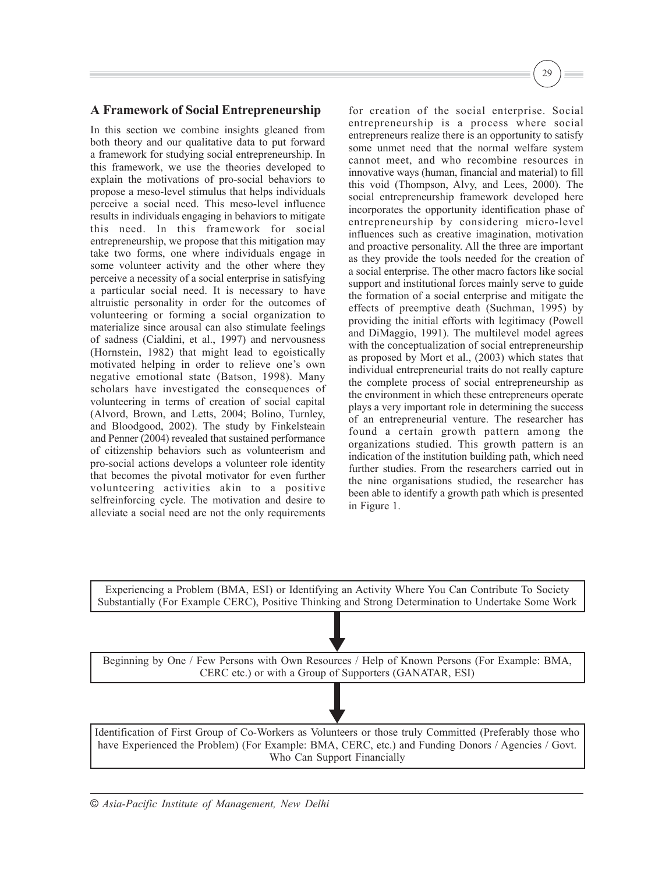# **A Framework of Social Entrepreneurship**

In this section we combine insights gleaned from both theory and our qualitative data to put forward a framework for studying social entrepreneurship. In this framework, we use the theories developed to explain the motivations of pro-social behaviors to propose a meso-level stimulus that helps individuals perceive a social need. This meso-level influence results in individuals engaging in behaviors to mitigate this need. In this framework for social entrepreneurship, we propose that this mitigation may take two forms, one where individuals engage in some volunteer activity and the other where they perceive a necessity of a social enterprise in satisfying a particular social need. It is necessary to have altruistic personality in order for the outcomes of volunteering or forming a social organization to materialize since arousal can also stimulate feelings of sadness (Cialdini, et al., 1997) and nervousness (Hornstein, 1982) that might lead to egoistically motivated helping in order to relieve one's own negative emotional state (Batson, 1998). Many scholars have investigated the consequences of volunteering in terms of creation of social capital (Alvord, Brown, and Letts, 2004; Bolino, Turnley, and Bloodgood, 2002). The study by Finkelsteain and Penner (2004) revealed that sustained performance of citizenship behaviors such as volunteerism and pro-social actions develops a volunteer role identity that becomes the pivotal motivator for even further volunteering activities akin to a positive selfreinforcing cycle. The motivation and desire to alleviate a social need are not the only requirements

for creation of the social enterprise. Social entrepreneurship is a process where social entrepreneurs realize there is an opportunity to satisfy some unmet need that the normal welfare system cannot meet, and who recombine resources in innovative ways (human, financial and material) to fill this void (Thompson, Alvy, and Lees, 2000). The social entrepreneurship framework developed here incorporates the opportunity identification phase of entrepreneurship by considering micro-level influences such as creative imagination, motivation and proactive personality. All the three are important as they provide the tools needed for the creation of a social enterprise. The other macro factors like social support and institutional forces mainly serve to guide the formation of a social enterprise and mitigate the effects of preemptive death (Suchman, 1995) by providing the initial efforts with legitimacy (Powell and DiMaggio, 1991). The multilevel model agrees with the conceptualization of social entrepreneurship as proposed by Mort et al., (2003) which states that individual entrepreneurial traits do not really capture the complete process of social entrepreneurship as the environment in which these entrepreneurs operate plays a very important role in determining the success of an entrepreneurial venture. The researcher has found a certain growth pattern among the organizations studied. This growth pattern is an indication of the institution building path, which need further studies. From the researchers carried out in the nine organisations studied, the researcher has been able to identify a growth path which is presented in Figure 1.

29

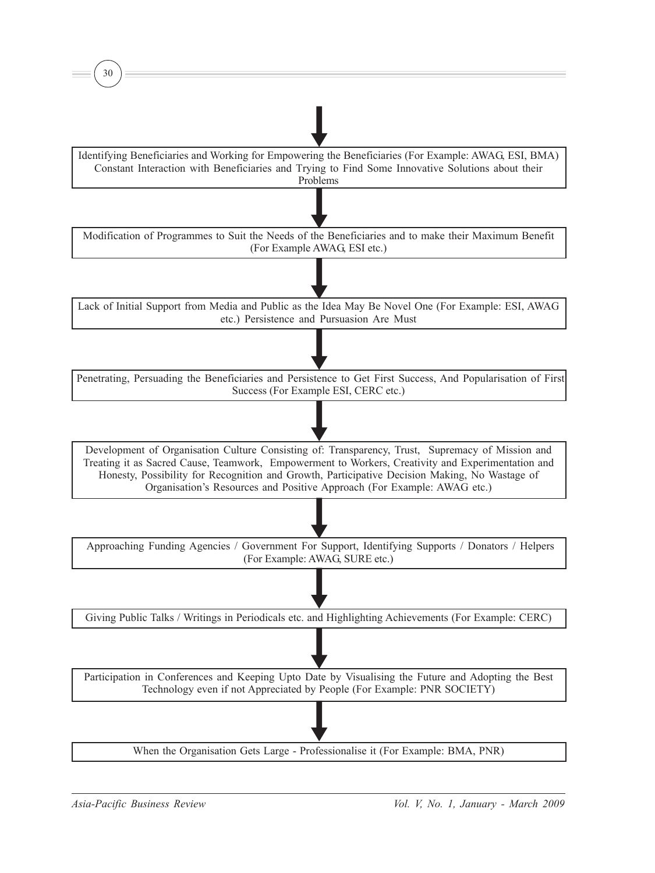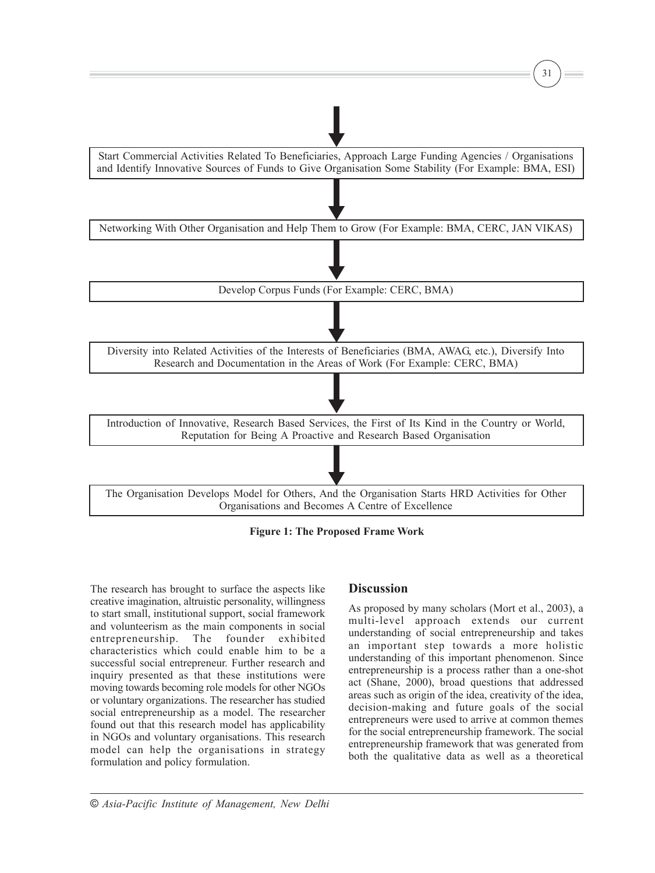

**Figure 1: The Proposed Frame Work**

The research has brought to surface the aspects like creative imagination, altruistic personality, willingness to start small, institutional support, social framework and volunteerism as the main components in social entrepreneurship. The founder exhibited characteristics which could enable him to be a successful social entrepreneur. Further research and inquiry presented as that these institutions were moving towards becoming role models for other NGOs or voluntary organizations. The researcher has studied social entrepreneurship as a model. The researcher found out that this research model has applicability in NGOs and voluntary organisations. This research model can help the organisations in strategy formulation and policy formulation.

## **Discussion**

As proposed by many scholars (Mort et al., 2003), a multi-level approach extends our current understanding of social entrepreneurship and takes an important step towards a more holistic understanding of this important phenomenon. Since entrepreneurship is a process rather than a one-shot act (Shane, 2000), broad questions that addressed areas such as origin of the idea, creativity of the idea, decision-making and future goals of the social entrepreneurs were used to arrive at common themes for the social entrepreneurship framework. The social entrepreneurship framework that was generated from both the qualitative data as well as a theoretical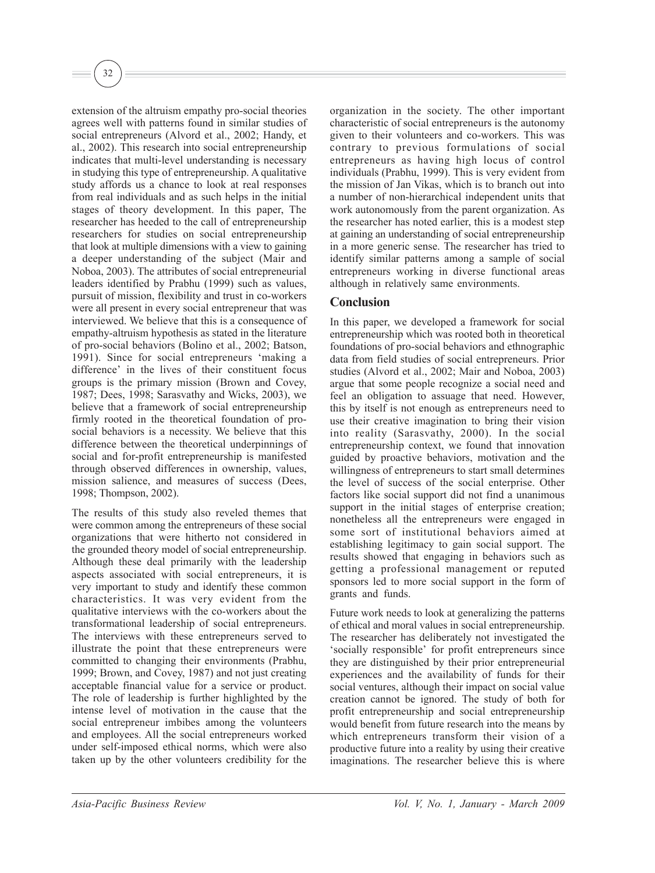extension of the altruism empathy pro-social theories agrees well with patterns found in similar studies of social entrepreneurs (Alvord et al., 2002; Handy, et al., 2002). This research into social entrepreneurship indicates that multi-level understanding is necessary in studying this type of entrepreneurship. A qualitative study affords us a chance to look at real responses from real individuals and as such helps in the initial stages of theory development. In this paper, The researcher has heeded to the call of entrepreneurship researchers for studies on social entrepreneurship that look at multiple dimensions with a view to gaining a deeper understanding of the subject (Mair and Noboa, 2003). The attributes of social entrepreneurial leaders identified by Prabhu (1999) such as values, pursuit of mission, flexibility and trust in co-workers were all present in every social entrepreneur that was interviewed. We believe that this is a consequence of empathy-altruism hypothesis as stated in the literature of pro-social behaviors (Bolino et al., 2002; Batson, 1991). Since for social entrepreneurs 'making a difference' in the lives of their constituent focus groups is the primary mission (Brown and Covey, 1987; Dees, 1998; Sarasvathy and Wicks, 2003), we believe that a framework of social entrepreneurship firmly rooted in the theoretical foundation of prosocial behaviors is a necessity. We believe that this difference between the theoretical underpinnings of social and for-profit entrepreneurship is manifested through observed differences in ownership, values, mission salience, and measures of success (Dees, 1998; Thompson, 2002).

32

The results of this study also reveled themes that were common among the entrepreneurs of these social organizations that were hitherto not considered in the grounded theory model of social entrepreneurship. Although these deal primarily with the leadership aspects associated with social entrepreneurs, it is very important to study and identify these common characteristics. It was very evident from the qualitative interviews with the co-workers about the transformational leadership of social entrepreneurs. The interviews with these entrepreneurs served to illustrate the point that these entrepreneurs were committed to changing their environments (Prabhu, 1999; Brown, and Covey, 1987) and not just creating acceptable financial value for a service or product. The role of leadership is further highlighted by the intense level of motivation in the cause that the social entrepreneur imbibes among the volunteers and employees. All the social entrepreneurs worked under self-imposed ethical norms, which were also taken up by the other volunteers credibility for the organization in the society. The other important characteristic of social entrepreneurs is the autonomy given to their volunteers and co-workers. This was contrary to previous formulations of social entrepreneurs as having high locus of control individuals (Prabhu, 1999). This is very evident from the mission of Jan Vikas, which is to branch out into a number of non-hierarchical independent units that work autonomously from the parent organization. As the researcher has noted earlier, this is a modest step at gaining an understanding of social entrepreneurship in a more generic sense. The researcher has tried to identify similar patterns among a sample of social entrepreneurs working in diverse functional areas although in relatively same environments.

# **Conclusion**

In this paper, we developed a framework for social entrepreneurship which was rooted both in theoretical foundations of pro-social behaviors and ethnographic data from field studies of social entrepreneurs. Prior studies (Alvord et al., 2002; Mair and Noboa, 2003) argue that some people recognize a social need and feel an obligation to assuage that need. However, this by itself is not enough as entrepreneurs need to use their creative imagination to bring their vision into reality (Sarasvathy, 2000). In the social entrepreneurship context, we found that innovation guided by proactive behaviors, motivation and the willingness of entrepreneurs to start small determines the level of success of the social enterprise. Other factors like social support did not find a unanimous support in the initial stages of enterprise creation; nonetheless all the entrepreneurs were engaged in some sort of institutional behaviors aimed at establishing legitimacy to gain social support. The results showed that engaging in behaviors such as getting a professional management or reputed sponsors led to more social support in the form of grants and funds.

Future work needs to look at generalizing the patterns of ethical and moral values in social entrepreneurship. The researcher has deliberately not investigated the 'socially responsible' for profit entrepreneurs since they are distinguished by their prior entrepreneurial experiences and the availability of funds for their social ventures, although their impact on social value creation cannot be ignored. The study of both for profit entrepreneurship and social entrepreneurship would benefit from future research into the means by which entrepreneurs transform their vision of a productive future into a reality by using their creative imaginations. The researcher believe this is where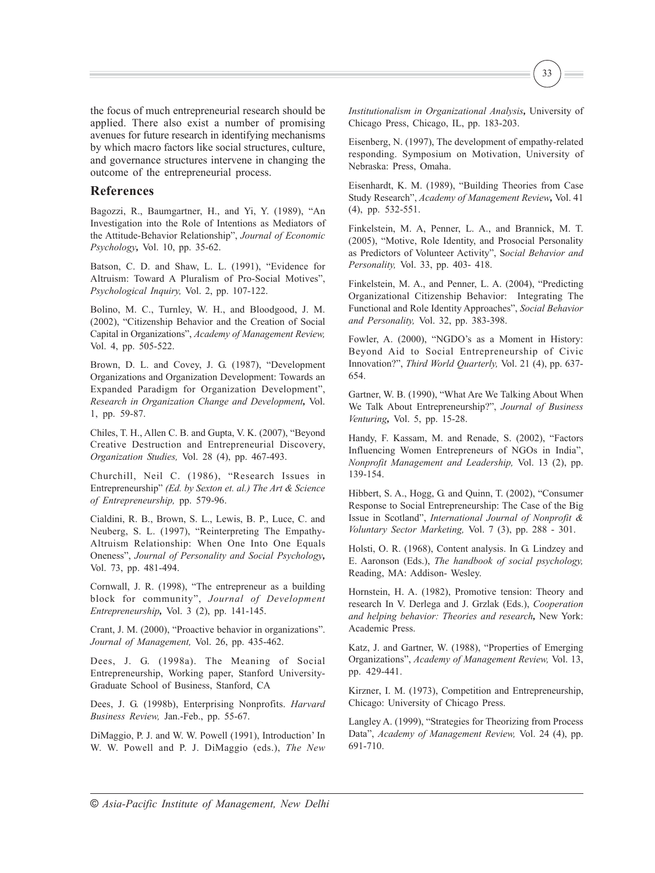the focus of much entrepreneurial research should be applied. There also exist a number of promising avenues for future research in identifying mechanisms by which macro factors like social structures, culture, and governance structures intervene in changing the outcome of the entrepreneurial process.

#### **References**

Bagozzi, R., Baumgartner, H., and Yi, Y. (1989), "An Investigation into the Role of Intentions as Mediators of the Attitude-Behavior Relationship", *Journal of Economic Psychology,* Vol. 10, pp. 35-62.

Batson, C. D. and Shaw, L. L. (1991), "Evidence for Altruism: Toward A Pluralism of Pro-Social Motives", *Psychological Inquiry,* Vol. 2, pp. 107-122.

Bolino, M. C., Turnley, W. H., and Bloodgood, J. M. (2002), "Citizenship Behavior and the Creation of Social Capital in Organizations", *Academy of Management Review,* Vol. 4, pp. 505-522.

Brown, D. L. and Covey, J. G. (1987), "Development Organizations and Organization Development: Towards an Expanded Paradigm for Organization Development", *Research in Organization Change and Development,* Vol. 1, pp. 59-87.

Chiles, T. H., Allen C. B. and Gupta, V. K. (2007), "Beyond Creative Destruction and Entrepreneurial Discovery, *Organization Studies,* Vol. 28 (4), pp. 467-493.

Churchill, Neil C. (1986), "Research Issues in Entrepreneurship" *(Ed. by Sexton et. al.) The Art & Science of Entrepreneurship,* pp. 579-96.

Cialdini, R. B., Brown, S. L., Lewis, B. P., Luce, C. and Neuberg, S. L. (1997), "Reinterpreting The Empathy-Altruism Relationship: When One Into One Equals Oneness", *Journal of Personality and Social Psychology,* Vol. 73, pp. 481-494.

Cornwall, J. R. (1998), "The entrepreneur as a building block for community", *Journal of Development Entrepreneurship,* Vol. 3 (2), pp. 141-145.

Crant, J. M. (2000), "Proactive behavior in organizations". *Journal of Management,* Vol. 26, pp. 435-462.

Dees, J. G. (1998a). The Meaning of Social Entrepreneurship, Working paper, Stanford University-Graduate School of Business, Stanford, CA

Dees, J. G. (1998b), Enterprising Nonprofits. *Harvard Business Review,* Jan.-Feb., pp. 55-67.

DiMaggio, P. J. and W. W. Powell (1991), Introduction' In W. W. Powell and P. J. DiMaggio (eds.), *The New* 33

Eisenberg, N. (1997), The development of empathy-related responding. Symposium on Motivation, University of Nebraska: Press, Omaha.

Eisenhardt, K. M. (1989), "Building Theories from Case Study Research", *Academy of Management Review,* Vol. 41 (4), pp. 532-551.

Finkelstein, M. A, Penner, L. A., and Brannick, M. T. (2005), "Motive, Role Identity, and Prosocial Personality as Predictors of Volunteer Activity", S*ocial Behavior and Personality,* Vol. 33, pp. 403- 418.

Finkelstein, M. A., and Penner, L. A. (2004), "Predicting Organizational Citizenship Behavior: Integrating The Functional and Role Identity Approaches", *Social Behavior and Personality,* Vol. 32, pp. 383-398.

Fowler, A. (2000), "NGDO's as a Moment in History: Beyond Aid to Social Entrepreneurship of Civic Innovation?", *Third World Quarterly,* Vol. 21 (4), pp. 637- 654.

Gartner, W. B. (1990), "What Are We Talking About When We Talk About Entrepreneurship?", *Journal of Business Venturing,* Vol. 5, pp. 15-28.

Handy, F. Kassam, M. and Renade, S. (2002), "Factors Influencing Women Entrepreneurs of NGOs in India", *Nonprofit Management and Leadership,* Vol. 13 (2), pp. 139-154.

Hibbert, S. A., Hogg, G. and Quinn, T. (2002), "Consumer Response to Social Entrepreneurship: The Case of the Big Issue in Scotland", *International Journal of Nonprofit & Voluntary Sector Marketing,* Vol. 7 (3), pp. 288 - 301.

Holsti, O. R. (1968), Content analysis. In G. Lindzey and E. Aaronson (Eds.), *The handbook of social psychology,* Reading, MA: Addison- Wesley.

Hornstein, H. A. (1982), Promotive tension: Theory and research In V. Derlega and J. Grzlak (Eds.), *Cooperation and helping behavior: Theories and research,* New York: Academic Press.

Katz, J. and Gartner, W. (1988), "Properties of Emerging Organizations", *Academy of Management Review,* Vol. 13, pp. 429-441.

Kirzner, I. M. (1973), Competition and Entrepreneurship, Chicago: University of Chicago Press.

Langley A. (1999), "Strategies for Theorizing from Process Data", *Academy of Management Review,* Vol. 24 (4), pp. 691-710.